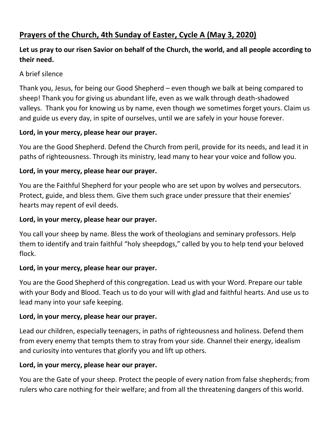# **Prayers of the Church, 4th Sunday of Easter, Cycle A (May 3, 2020)**

## **Let us pray to our risen Savior on behalf of the Church, the world, and all people according to their need.**

## A brief silence

Thank you, Jesus, for being our Good Shepherd – even though we balk at being compared to sheep! Thank you for giving us abundant life, even as we walk through death-shadowed valleys. Thank you for knowing us by name, even though we sometimes forget yours. Claim us and guide us every day, in spite of ourselves, until we are safely in your house forever.

#### **Lord, in your mercy, please hear our prayer.**

You are the Good Shepherd. Defend the Church from peril, provide for its needs, and lead it in paths of righteousness. Through its ministry, lead many to hear your voice and follow you.

#### **Lord, in your mercy, please hear our prayer.**

You are the Faithful Shepherd for your people who are set upon by wolves and persecutors. Protect, guide, and bless them. Give them such grace under pressure that their enemies' hearts may repent of evil deeds.

#### **Lord, in your mercy, please hear our prayer.**

You call your sheep by name. Bless the work of theologians and seminary professors. Help them to identify and train faithful "holy sheepdogs," called by you to help tend your beloved flock.

#### **Lord, in your mercy, please hear our prayer.**

You are the Good Shepherd of this congregation. Lead us with your Word. Prepare our table with your Body and Blood. Teach us to do your will with glad and faithful hearts. And use us to lead many into your safe keeping.

#### **Lord, in your mercy, please hear our prayer.**

Lead our children, especially teenagers, in paths of righteousness and holiness. Defend them from every enemy that tempts them to stray from your side. Channel their energy, idealism and curiosity into ventures that glorify you and lift up others.

#### **Lord, in your mercy, please hear our prayer.**

You are the Gate of your sheep. Protect the people of every nation from false shepherds; from rulers who care nothing for their welfare; and from all the threatening dangers of this world.